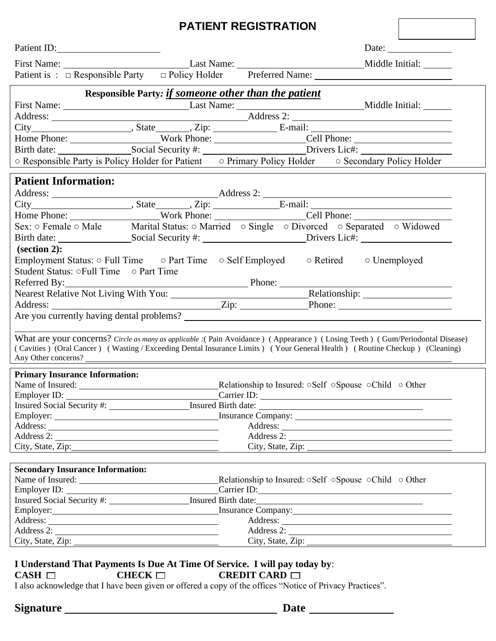## **PATIENT REGISTRATION**

| Patient ID:                                                                | Date: $\frac{1}{\sqrt{1-\frac{1}{2}}\sqrt{1-\frac{1}{2}}\left(1-\frac{1}{2}\right)}$                                                                                                                                                                       |
|----------------------------------------------------------------------------|------------------------------------------------------------------------------------------------------------------------------------------------------------------------------------------------------------------------------------------------------------|
|                                                                            |                                                                                                                                                                                                                                                            |
|                                                                            | Patient is : □ Responsible Party □ Policy Holder Preferred Name: __________________________________                                                                                                                                                        |
| Responsible Party: if someone other than the patient                       |                                                                                                                                                                                                                                                            |
|                                                                            |                                                                                                                                                                                                                                                            |
|                                                                            |                                                                                                                                                                                                                                                            |
|                                                                            |                                                                                                                                                                                                                                                            |
|                                                                            |                                                                                                                                                                                                                                                            |
|                                                                            | Home Phone: Work Phone: Cell Phone: Cell Phone: Cell Phone:                                                                                                                                                                                                |
|                                                                            | ○ Responsible Party is Policy Holder for Patient ○ Primary Policy Holder ○ Secondary Policy Holder                                                                                                                                                         |
| <b>Patient Information:</b>                                                |                                                                                                                                                                                                                                                            |
|                                                                            |                                                                                                                                                                                                                                                            |
|                                                                            |                                                                                                                                                                                                                                                            |
|                                                                            |                                                                                                                                                                                                                                                            |
|                                                                            | Home Phone: Work Phone: Cell Phone: Cell Phone: Cell Phone: Cell Phone: Cell Phone: Cell Phone: Cell Phone: Cell Phone: Cell Phone: Cell Phone: Cell Phone: Cell Phone: Cell Phone: Cell Phone: Cell Phone: Cell Phone: Cell                               |
|                                                                            |                                                                                                                                                                                                                                                            |
| $\left( \text{section 2} \right)$ :                                        |                                                                                                                                                                                                                                                            |
|                                                                            | Employment Status: o Full Time o Part Time o Self Employed o Retired o Unemployed                                                                                                                                                                          |
| Student Status: oFull Time o Part Time                                     |                                                                                                                                                                                                                                                            |
| Referred By:                                                               | Phone:                                                                                                                                                                                                                                                     |
|                                                                            |                                                                                                                                                                                                                                                            |
|                                                                            |                                                                                                                                                                                                                                                            |
|                                                                            |                                                                                                                                                                                                                                                            |
|                                                                            |                                                                                                                                                                                                                                                            |
|                                                                            | What are your concerns? Circle as many as applicable : (Pain Avoidance) (Appearance) (Losing Teeth) (Gum/Periodontal Disease)<br>(Cavities) (Oral Cancer) (Wasting / Exceeding Dental Insurance Limits) (Your General Health) (Routine Checkup) (Cleaning) |
| Any Other concerns?                                                        |                                                                                                                                                                                                                                                            |
|                                                                            |                                                                                                                                                                                                                                                            |
| <b>Primary Insurance Information:</b>                                      |                                                                                                                                                                                                                                                            |
|                                                                            | Name of Insured: 1990 Self ∴ 2008 Name of Insured: 0.000 Self ∴ 2009 Name of Insured: 0.000 Self ∴ 2009 Nelationship to Insured: 0.000 Self ∴ 2009 Nelationship to Insured: 0.000 Self ∴ 2009 Nelationship to Insured: 0.000                               |
|                                                                            |                                                                                                                                                                                                                                                            |
|                                                                            |                                                                                                                                                                                                                                                            |
|                                                                            |                                                                                                                                                                                                                                                            |
| Address 2:                                                                 | Address 2:                                                                                                                                                                                                                                                 |
|                                                                            | City, State, Zip:                                                                                                                                                                                                                                          |
|                                                                            |                                                                                                                                                                                                                                                            |
| <b>Secondary Insurance Information:</b>                                    |                                                                                                                                                                                                                                                            |
|                                                                            | Name of Insured: <u>Child of Other Relationship</u> to Insured: oSelf oSpouse oChild of Other                                                                                                                                                              |
|                                                                            | Employer ID: Carrier ID: Carrier ID:                                                                                                                                                                                                                       |
|                                                                            |                                                                                                                                                                                                                                                            |
|                                                                            | Employer: Insurance Company:                                                                                                                                                                                                                               |
|                                                                            |                                                                                                                                                                                                                                                            |
| Address 2:                                                                 | Address 2:                                                                                                                                                                                                                                                 |
| City, State, Zip:                                                          |                                                                                                                                                                                                                                                            |
| I Understand That Payments Is Due At Time Of Service. I will nav today by: |                                                                                                                                                                                                                                                            |

|             | I Understand That Payments Is Due At Time Of Service. I will pay today by: |                           |
|-------------|----------------------------------------------------------------------------|---------------------------|
| $CASH \Box$ | $CHECK$ $\Box$                                                             | <b>CREDIT CARD</b> $\Box$ |

I also acknowledge that I have been given or offered a copy of the offices "Notice of Privacy Practices".

**Signature Date**